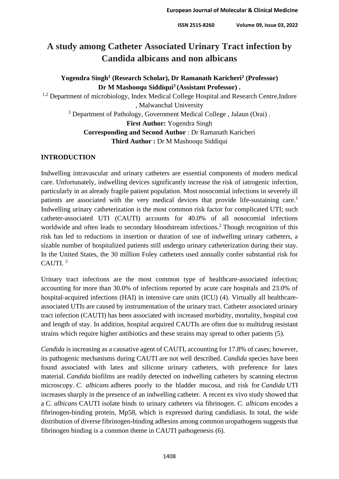# **A study among Catheter Associated Urinary Tract infection by Candida albicans and non albicans**

**Yogendra Singh<sup>1</sup> (Research Scholar), Dr Ramanath Karicheri<sup>2</sup> (Professor) Dr M Mashooqu Siddiqui<sup>3</sup>(Assistant Professor) .** <sup>1,2</sup> Department of microbiology, Index Medical College Hospital and Research Centre, Indore , Malwanchal University <sup>3</sup> Department of Pathology, Government Medical College , Jalaun (Orai) . **First Author:** Yogendra Singh **Corresponding and Second Author** : Dr Ramanath Karicheri **Third Author :** Dr M Mashooqu Siddiqui

# **INTRODUCTION**

Indwelling intravascular and urinary catheters are essential components of modern medical care. Unfortunately, indwelling devices significantly increase the risk of iatrogenic infection, particularly in an already fragile patient population. Most nosocomial infections in severely ill patients are associated with the very medical devices that provide life-sustaining care.<sup>1</sup> Indwelling urinary catheterization is the most common risk factor for complicated UTI; such catheter-associated UTI (CAUTI) accounts for 40.0% of all nosocomial infections worldwide and often leads to secondary bloodstream infections.<sup>2</sup> Though recognition of this risk has led to reductions in insertion or duration of use of indwelling urinary catheters, a sizable number of hospitalized patients still undergo urinary catheterization during their stay. In the United States, the 30 million Foley catheters used annually confer substantial risk for CAUTI.<sup>3</sup>

Urinary tract infections are the most common type of healthcare-associated infection; accounting for more than 30.0% of infections reported by acute care hospitals and 23.0% of hospital-acquired infections (HAI) in intensive care units (ICU) (4). Virtually all healthcareassociated UTIs are caused by instrumentation of the urinary tract. Catheter associated urinary tract infection (CAUTI) has been associated with increased morbidity, mortality, hospital cost and length of stay. In addition, hospital acquired CAUTIs are often due to multidrug resistant strains which require higher antibiotics and these strains may spread to other patients (5).

*Candida* is increasing as a causative agent of CAUTI, accounting for 17.8% of cases; however, its pathogenic mechanisms during CAUTI are not well described. *Candida* species have been found associated with latex and silicone urinary catheters, with preference for latex material. *Candida* biofilms are readily detected on indwelling catheters by scanning electron microscopy. *C. albicans* adheres poorly to the bladder mucosa, and risk for *Candida* UTI increases sharply in the presence of an indwelling catheter. A recent ex vivo study showed that a *C. albicans* CAUTI isolate binds to urinary catheters via fibrinogen. *C. albicans* encodes a fibrinogen-binding protein, Mp58, which is expressed during candidiasis. In total, the wide distribution of diverse fibrinogen-binding adhesins among common uropathogens suggests that fibrinogen binding is a common theme in CAUTI pathogenesis (6).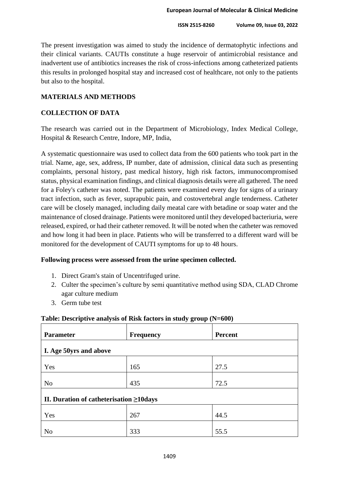The present investigation was aimed to study the incidence of dermatophytic infections and their clinical variants. CAUTIs constitute a huge reservoir of antimicrobial resistance and inadvertent use of antibiotics increases the risk of cross-infections among catheterized patients this results in prolonged hospital stay and increased cost of healthcare, not only to the patients but also to the hospital.

## **MATERIALS AND METHODS**

## **COLLECTION OF DATA**

The research was carried out in the Department of Microbiology, Index Medical College, Hospital & Research Centre, Indore, MP, India,

A systematic questionnaire was used to collect data from the 600 patients who took part in the trial. Name, age, sex, address, IP number, date of admission, clinical data such as presenting complaints, personal history, past medical history, high risk factors, immunocompromised status, physical examination findings, and clinical diagnosis details were all gathered. The need for a Foley's catheter was noted. The patients were examined every day for signs of a urinary tract infection, such as fever, suprapubic pain, and costovertebral angle tenderness. Catheter care will be closely managed, including daily meatal care with betadine or soap water and the maintenance of closed drainage. Patients were monitored until they developed bacteriuria, were released, expired, or had their catheter removed. It will be noted when the catheter was removed and how long it had been in place. Patients who will be transferred to a different ward will be monitored for the development of CAUTI symptoms for up to 48 hours.

#### **Following process were assessed from the urine specimen collected.**

- 1. Direct Gram's stain of Uncentrifuged urine.
- 2. Culter the specimen's culture by semi quantitative method using SDA, CLAD Chrome agar culture medium
- 3. Germ tube test

| <b>Parameter</b>                               | <b>Frequency</b> | Percent |  |  |  |
|------------------------------------------------|------------------|---------|--|--|--|
| I. Age 50yrs and above                         |                  |         |  |  |  |
| Yes                                            | 165              | 27.5    |  |  |  |
| N <sub>o</sub>                                 | 435              | 72.5    |  |  |  |
| II. Duration of catheterisation $\geq 10$ days |                  |         |  |  |  |
| Yes                                            | 267              | 44.5    |  |  |  |
| N <sub>o</sub>                                 | 333              | 55.5    |  |  |  |

#### **Table: Descriptive analysis of Risk factors in study group (N=600)**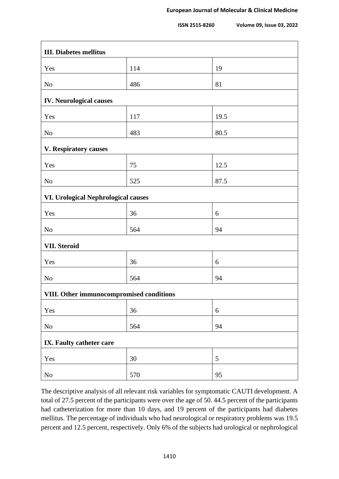**ISSN 2515-8260 Volume 09, Issue 03, 2022**

| <b>III. Diabetes mellitus</b>            |        |                |  |  |
|------------------------------------------|--------|----------------|--|--|
| Yes                                      | 114    | 19             |  |  |
| N <sub>0</sub>                           | 486    | 81             |  |  |
| <b>IV. Neurological causes</b>           |        |                |  |  |
| Yes                                      | 117    | 19.5           |  |  |
| No                                       | 483    | 80.5           |  |  |
| V. Respiratory causes                    |        |                |  |  |
| Yes                                      | 75     | 12.5           |  |  |
| No                                       | 525    | 87.5           |  |  |
| VI. Urological Nephrological causes      |        |                |  |  |
| Yes                                      | 36     | 6              |  |  |
| No                                       | 564    | 94             |  |  |
| <b>VII. Steroid</b>                      |        |                |  |  |
| Yes                                      | 36     | 6              |  |  |
| $\rm No$                                 | 564    | 94             |  |  |
| VIII. Other immunocompromised conditions |        |                |  |  |
| Yes                                      | 36     | 6              |  |  |
| No                                       | 564    | 94             |  |  |
| IX. Faulty catheter care                 |        |                |  |  |
| Yes                                      | $30\,$ | $\mathfrak{S}$ |  |  |
| $\rm No$                                 | 570    | 95             |  |  |

The descriptive analysis of all relevant risk variables for symptomatic CAUTI development. A total of 27.5 percent of the participants were over the age of 50. 44.5 percent of the participants had catheterization for more than 10 days, and 19 percent of the participants had diabetes mellitus. The percentage of individuals who had neurological or respiratory problems was 19.5 percent and 12.5 percent, respectively. Only 6% of the subjects had urological or nephrological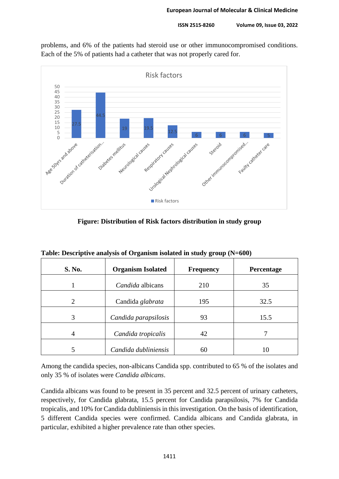**ISSN 2515-8260 Volume 09, Issue 03, 2022**

problems, and 6% of the patients had steroid use or other immunocompromised conditions. Each of the 5% of patients had a catheter that was not properly cared for.



**Figure: Distribution of Risk factors distribution in study group**

|               | o                        | ັ⊂<br>$\blacksquare$ |            |
|---------------|--------------------------|----------------------|------------|
| S. No.        | <b>Organism Isolated</b> | <b>Frequency</b>     | Percentage |
|               | Candida albicans         | 210                  | 35         |
| $\mathcal{D}$ | Candida glabrata         | 195                  | 32.5       |
| 3             | Candida parapsilosis     | 93                   | 15.5       |
| 4             | Candida tropicalis       | 42                   |            |
|               | Candida dubliniensis     | 60                   | 10         |

**Table: Descriptive analysis of Organism isolated in study group (N=600)**

Among the candida species, non-albicans Candida spp. contributed to 65 % of the isolates and only 35 % of isolates were *Candida albicans*.

Candida albicans was found to be present in 35 percent and 32.5 percent of urinary catheters, respectively, for Candida glabrata, 15.5 percent for Candida parapsilosis, 7% for Candida tropicalis, and 10% for Candida dubliniensis in this investigation. On the basis of identification, 5 different Candida species were confirmed. Candida albicans and Candida glabrata, in particular, exhibited a higher prevalence rate than other species.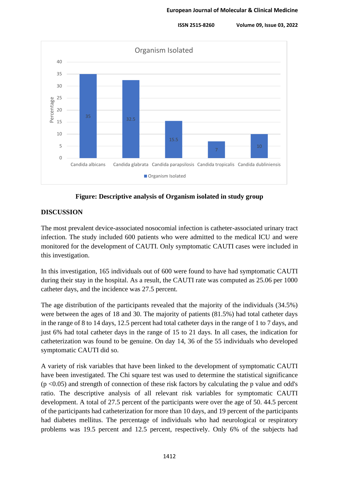**ISSN 2515-8260 Volume 09, Issue 03, 2022**



**Figure: Descriptive analysis of Organism isolated in study group**

# **DISCUSSION**

The most prevalent device-associated nosocomial infection is catheter-associated urinary tract infection. The study included 600 patients who were admitted to the medical ICU and were monitored for the development of CAUTI. Only symptomatic CAUTI cases were included in this investigation.

In this investigation, 165 individuals out of 600 were found to have had symptomatic CAUTI during their stay in the hospital. As a result, the CAUTI rate was computed as 25.06 per 1000 catheter days, and the incidence was 27.5 percent.

The age distribution of the participants revealed that the majority of the individuals (34.5%) were between the ages of 18 and 30. The majority of patients (81.5%) had total catheter days in the range of 8 to 14 days, 12.5 percent had total catheter days in the range of 1 to 7 days, and just 6% had total catheter days in the range of 15 to 21 days. In all cases, the indication for catheterization was found to be genuine. On day 14, 36 of the 55 individuals who developed symptomatic CAUTI did so.

A variety of risk variables that have been linked to the development of symptomatic CAUTI have been investigated. The Chi square test was used to determine the statistical significance  $(p \le 0.05)$  and strength of connection of these risk factors by calculating the p value and odd's ratio. The descriptive analysis of all relevant risk variables for symptomatic CAUTI development. A total of 27.5 percent of the participants were over the age of 50. 44.5 percent of the participants had catheterization for more than 10 days, and 19 percent of the participants had diabetes mellitus. The percentage of individuals who had neurological or respiratory problems was 19.5 percent and 12.5 percent, respectively. Only 6% of the subjects had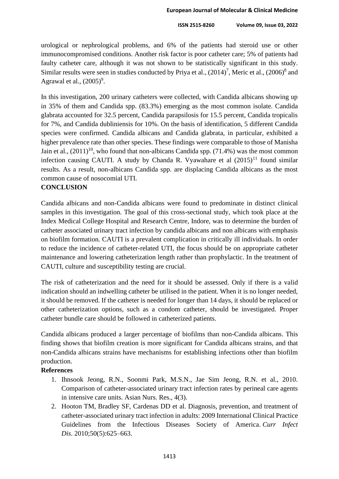urological or nephrological problems, and 6% of the patients had steroid use or other immunocompromised conditions. Another risk factor is poor catheter care; 5% of patients had faulty catheter care, although it was not shown to be statistically significant in this study. Similar results were seen in studies conducted by Priya et al.,  $(2014)^7$ , Meric et al.,  $(2006)^8$  and Agrawal et al.,  $(2005)^9$ .

In this investigation, 200 urinary catheters were collected, with Candida albicans showing up in 35% of them and Candida spp. (83.3%) emerging as the most common isolate. Candida glabrata accounted for 32.5 percent, Candida parapsilosis for 15.5 percent, Candida tropicalis for 7%, and Candida dubliniensis for 10%. On the basis of identification, 5 different Candida species were confirmed. Candida albicans and Candida glabrata, in particular, exhibited a higher prevalence rate than other species. These findings were comparable to those of Manisha Jain et al.,  $(2011)^{10}$ , who found that non-albicans Candida spp. (71.4%) was the most common infection causing CAUTI. A study by Chanda R. Vyawahare et al  $(2015)^{11}$  found similar results. As a result, non-albicans Candida spp. are displacing Candida albicans as the most common cause of nosocomial UTI.

## **CONCLUSION**

Candida albicans and non-Candida albicans were found to predominate in distinct clinical samples in this investigation. The goal of this cross-sectional study, which took place at the Index Medical College Hospital and Research Centre, Indore, was to determine the burden of catheter associated urinary tract infection by candida albicans and non albicans with emphasis on biofilm formation. CAUTI is a prevalent complication in critically ill individuals. In order to reduce the incidence of catheter-related UTI, the focus should be on appropriate catheter maintenance and lowering catheterization length rather than prophylactic. In the treatment of CAUTI, culture and susceptibility testing are crucial.

The risk of catheterization and the need for it should be assessed. Only if there is a valid indication should an indwelling catheter be utilised in the patient. When it is no longer needed, it should be removed. If the catheter is needed for longer than 14 days, it should be replaced or other catheterization options, such as a condom catheter, should be investigated. Proper catheter bundle care should be followed in catheterized patients.

Candida albicans produced a larger percentage of biofilms than non-Candida albicans. This finding shows that biofilm creation is more significant for Candida albicans strains, and that non-Candida albicans strains have mechanisms for establishing infections other than biofilm production.

#### **References**

- 1. Ihnsook Jeong, R.N., Soonmi Park, M.S.N., Jae Sim Jeong, R.N. et al., 2010. Comparison of catheter-associated urinary tract infection rates by perineal care agents in intensive care units. Asian Nurs. Res., 4(3).
- 2. Hooton TM, Bradley SF, Cardenas DD et al. Diagnosis, prevention, and treatment of catheter-associated urinary tract infection in adults: 2009 International Clinical Practice Guidelines from the Infectious Diseases Society of America. *Curr Infect Dis*. 2010;50(5):625–663.